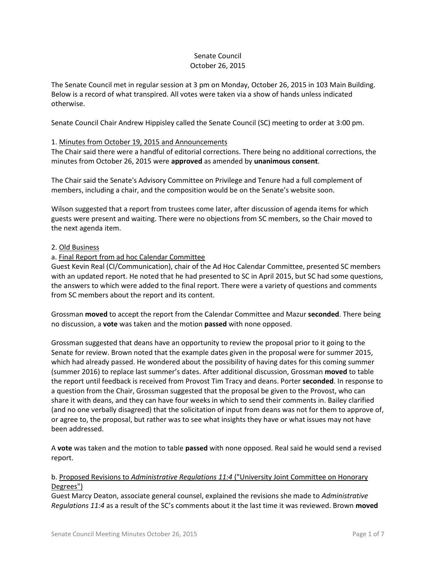## Senate Council October 26, 2015

The Senate Council met in regular session at 3 pm on Monday, October 26, 2015 in 103 Main Building. Below is a record of what transpired. All votes were taken via a show of hands unless indicated otherwise.

Senate Council Chair Andrew Hippisley called the Senate Council (SC) meeting to order at 3:00 pm.

## 1. Minutes from October 19, 2015 and Announcements

The Chair said there were a handful of editorial corrections. There being no additional corrections, the minutes from October 26, 2015 were **approved** as amended by **unanimous consent**.

The Chair said the Senate's Advisory Committee on Privilege and Tenure had a full complement of members, including a chair, and the composition would be on the Senate's website soon.

Wilson suggested that a report from trustees come later, after discussion of agenda items for which guests were present and waiting. There were no objections from SC members, so the Chair moved to the next agenda item.

### 2. Old Business

## a. Final Report from ad hoc Calendar Committee

Guest Kevin Real (CI/Communication), chair of the Ad Hoc Calendar Committee, presented SC members with an updated report. He noted that he had presented to SC in April 2015, but SC had some questions, the answers to which were added to the final report. There were a variety of questions and comments from SC members about the report and its content.

Grossman **moved** to accept the report from the Calendar Committee and Mazur **seconded**. There being no discussion, a **vote** was taken and the motion **passed** with none opposed.

Grossman suggested that deans have an opportunity to review the proposal prior to it going to the Senate for review. Brown noted that the example dates given in the proposal were for summer 2015, which had already passed. He wondered about the possibility of having dates for this coming summer (summer 2016) to replace last summer's dates. After additional discussion, Grossman **moved** to table the report until feedback is received from Provost Tim Tracy and deans. Porter **seconded**. In response to a question from the Chair, Grossman suggested that the proposal be given to the Provost, who can share it with deans, and they can have four weeks in which to send their comments in. Bailey clarified (and no one verbally disagreed) that the solicitation of input from deans was not for them to approve of, or agree to, the proposal, but rather was to see what insights they have or what issues may not have been addressed.

A **vote** was taken and the motion to table **passed** with none opposed. Real said he would send a revised report.

## b. Proposed Revisions to *Administrative Regulations 11:4* ("University Joint Committee on Honorary Degrees")

Guest Marcy Deaton, associate general counsel, explained the revisions she made to *Administrative Regulations 11:4* as a result of the SC's comments about it the last time it was reviewed. Brown **moved**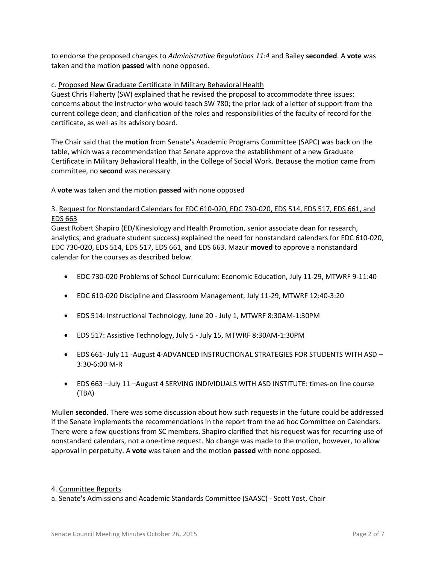to endorse the proposed changes to *Administrative Regulations 11:4* and Bailey **seconded**. A **vote** was taken and the motion **passed** with none opposed.

### c. Proposed New Graduate Certificate in Military Behavioral Health

Guest Chris Flaherty (SW) explained that he revised the proposal to accommodate three issues: concerns about the instructor who would teach SW 780; the prior lack of a letter of support from the current college dean; and clarification of the roles and responsibilities of the faculty of record for the certificate, as well as its advisory board.

The Chair said that the **motion** from Senate's Academic Programs Committee (SAPC) was back on the table, which was a recommendation that Senate approve the establishment of a new Graduate Certificate in Military Behavioral Health, in the College of Social Work. Because the motion came from committee, no **second** was necessary.

A **vote** was taken and the motion **passed** with none opposed

# 3. Request for Nonstandard Calendars for EDC 610-020, EDC 730-020, EDS 514, EDS 517, EDS 661, and EDS 663

Guest Robert Shapiro (ED/Kinesiology and Health Promotion, senior associate dean for research, analytics, and graduate student success) explained the need for nonstandard calendars for EDC 610-020, EDC 730-020, EDS 514, EDS 517, EDS 661, and EDS 663. Mazur **moved** to approve a nonstandard calendar for the courses as described below.

- EDC 730‐020 Problems of School Curriculum: Economic Education, July 11‐29, MTWRF 9‐11:40
- EDC 610‐020 Discipline and Classroom Management, July 11‐29, MTWRF 12:40‐3:20
- EDS 514: Instructional Technology, June 20 ‐ July 1, MTWRF 8:30AM‐1:30PM
- EDS 517: Assistive Technology, July 5 ‐ July 15, MTWRF 8:30AM‐1:30PM
- EDS 661- July 11 -August 4-ADVANCED INSTRUCTIONAL STRATEGIES FOR STUDENTS WITH ASD 3:30‐6:00 M‐R
- EDS 663 –July 11 –August 4 SERVING INDIVIDUALS WITH ASD INSTITUTE: times‐on line course (TBA)

Mullen **seconded**. There was some discussion about how such requests in the future could be addressed if the Senate implements the recommendations in the report from the ad hoc Committee on Calendars. There were a few questions from SC members. Shapiro clarified that his request was for recurring use of nonstandard calendars, not a one-time request. No change was made to the motion, however, to allow approval in perpetuity. A **vote** was taken and the motion **passed** with none opposed.

#### 4. Committee Reports

a. Senate's Admissions and Academic Standards Committee (SAASC) - Scott Yost, Chair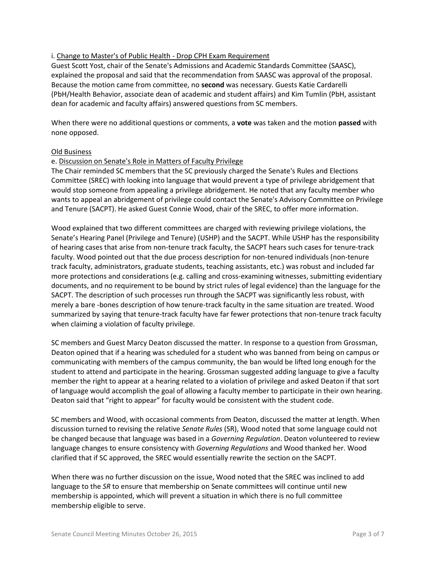### i. Change to Master's of Public Health - Drop CPH Exam Requirement

Guest Scott Yost, chair of the Senate's Admissions and Academic Standards Committee (SAASC), explained the proposal and said that the recommendation from SAASC was approval of the proposal. Because the motion came from committee, no **second** was necessary. Guests Katie Cardarelli (PbH/Health Behavior, associate dean of academic and student affairs) and Kim Tumlin (PbH, assistant dean for academic and faculty affairs) answered questions from SC members.

When there were no additional questions or comments, a **vote** was taken and the motion **passed** with none opposed.

### Old Business

### e. Discussion on Senate's Role in Matters of Faculty Privilege

The Chair reminded SC members that the SC previously charged the Senate's Rules and Elections Committee (SREC) with looking into language that would prevent a type of privilege abridgement that would stop someone from appealing a privilege abridgement. He noted that any faculty member who wants to appeal an abridgement of privilege could contact the Senate's Advisory Committee on Privilege and Tenure (SACPT). He asked Guest Connie Wood, chair of the SREC, to offer more information.

Wood explained that two different committees are charged with reviewing privilege violations, the Senate's Hearing Panel (Privilege and Tenure) (USHP) and the SACPT. While USHP has the responsibility of hearing cases that arise from non-tenure track faculty, the SACPT hears such cases for tenure-track faculty. Wood pointed out that the due process description for non-tenured individuals (non-tenure track faculty, administrators, graduate students, teaching assistants, etc.) was robust and included far more protections and considerations (e.g. calling and cross-examining witnesses, submitting evidentiary documents, and no requirement to be bound by strict rules of legal evidence) than the language for the SACPT. The description of such processes run through the SACPT was significantly less robust, with merely a bare -bones description of how tenure-track faculty in the same situation are treated. Wood summarized by saying that tenure-track faculty have far fewer protections that non-tenure track faculty when claiming a violation of faculty privilege.

SC members and Guest Marcy Deaton discussed the matter. In response to a question from Grossman, Deaton opined that if a hearing was scheduled for a student who was banned from being on campus or communicating with members of the campus community, the ban would be lifted long enough for the student to attend and participate in the hearing. Grossman suggested adding language to give a faculty member the right to appear at a hearing related to a violation of privilege and asked Deaton if that sort of language would accomplish the goal of allowing a faculty member to participate in their own hearing. Deaton said that "right to appear" for faculty would be consistent with the student code.

SC members and Wood, with occasional comments from Deaton, discussed the matter at length. When discussion turned to revising the relative *Senate Rules* (SR), Wood noted that some language could not be changed because that language was based in a *Governing Regulation*. Deaton volunteered to review language changes to ensure consistency with *Governing Regulations* and Wood thanked her. Wood clarified that if SC approved, the SREC would essentially rewrite the section on the SACPT.

When there was no further discussion on the issue, Wood noted that the SREC was inclined to add language to the *SR* to ensure that membership on Senate committees will continue until new membership is appointed, which will prevent a situation in which there is no full committee membership eligible to serve.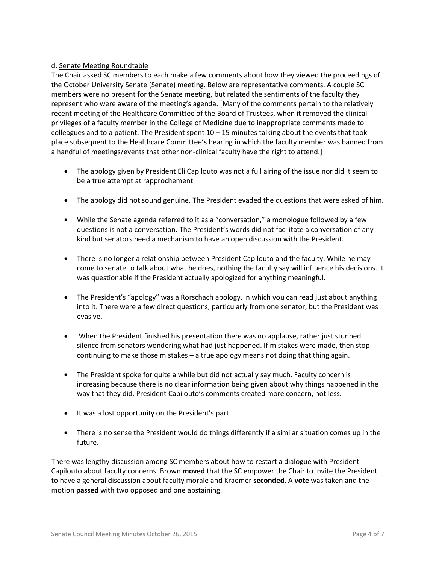## d. Senate Meeting Roundtable

The Chair asked SC members to each make a few comments about how they viewed the proceedings of the October University Senate (Senate) meeting. Below are representative comments. A couple SC members were no present for the Senate meeting, but related the sentiments of the faculty they represent who were aware of the meeting's agenda. [Many of the comments pertain to the relatively recent meeting of the Healthcare Committee of the Board of Trustees, when it removed the clinical privileges of a faculty member in the College of Medicine due to inappropriate comments made to colleagues and to a patient. The President spent  $10 - 15$  minutes talking about the events that took place subsequent to the Healthcare Committee's hearing in which the faculty member was banned from a handful of meetings/events that other non-clinical faculty have the right to attend.]

- The apology given by President Eli Capilouto was not a full airing of the issue nor did it seem to be a true attempt at rapprochement
- The apology did not sound genuine. The President evaded the questions that were asked of him.
- While the Senate agenda referred to it as a "conversation," a monologue followed by a few questions is not a conversation. The President's words did not facilitate a conversation of any kind but senators need a mechanism to have an open discussion with the President.
- There is no longer a relationship between President Capilouto and the faculty. While he may come to senate to talk about what he does, nothing the faculty say will influence his decisions. It was questionable if the President actually apologized for anything meaningful.
- The President's "apology" was a Rorschach apology, in which you can read just about anything into it. There were a few direct questions, particularly from one senator, but the President was evasive.
- When the President finished his presentation there was no applause, rather just stunned silence from senators wondering what had just happened. If mistakes were made, then stop continuing to make those mistakes – a true apology means not doing that thing again.
- The President spoke for quite a while but did not actually say much. Faculty concern is increasing because there is no clear information being given about why things happened in the way that they did. President Capilouto's comments created more concern, not less.
- It was a lost opportunity on the President's part.
- There is no sense the President would do things differently if a similar situation comes up in the future.

There was lengthy discussion among SC members about how to restart a dialogue with President Capilouto about faculty concerns. Brown **moved** that the SC empower the Chair to invite the President to have a general discussion about faculty morale and Kraemer **seconded**. A **vote** was taken and the motion **passed** with two opposed and one abstaining.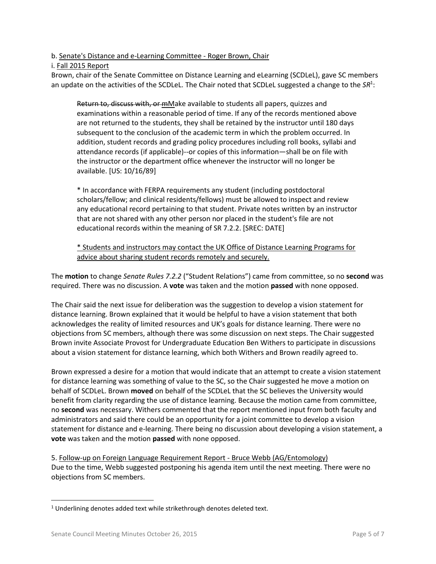b. Senate's Distance and e-Learning Committee - Roger Brown, Chair

i. Fall 2015 Report

Brown, chair of the Senate Committee on Distance Learning and eLearning (SCDLeL), gave SC members an update on the activities of the SCDLeL. The Chair noted that SCDLeL suggested a change to the SR<sup>1</sup>:

Return to, discuss with, or mMake available to students all papers, quizzes and examinations within a reasonable period of time. If any of the records mentioned above are not returned to the students, they shall be retained by the instructor until 180 days subsequent to the conclusion of the academic term in which the problem occurred. In addition, student records and grading policy procedures including roll books, syllabi and attendance records (if applicable)--or copies of this information—shall be on file with the instructor or the department office whenever the instructor will no longer be available. [US: 10/16/89]

\* In accordance with FERPA requirements any student (including postdoctoral scholars/fellow; and clinical residents/fellows) must be allowed to inspect and review any educational record pertaining to that student. Private notes written by an instructor that are not shared with any other person nor placed in the student's file are not educational records within the meaning of SR 7.2.2. [SREC: DATE]

\* Students and instructors may contact the UK Office of Distance Learning Programs for advice about sharing student records remotely and securely.

The **motion** to change *Senate Rules 7.2.2* ("Student Relations") came from committee, so no **second** was required. There was no discussion. A **vote** was taken and the motion **passed** with none opposed.

The Chair said the next issue for deliberation was the suggestion to develop a vision statement for distance learning. Brown explained that it would be helpful to have a vision statement that both acknowledges the reality of limited resources and UK's goals for distance learning. There were no objections from SC members, although there was some discussion on next steps. The Chair suggested Brown invite Associate Provost for Undergraduate Education Ben Withers to participate in discussions about a vision statement for distance learning, which both Withers and Brown readily agreed to.

Brown expressed a desire for a motion that would indicate that an attempt to create a vision statement for distance learning was something of value to the SC, so the Chair suggested he move a motion on behalf of SCDLeL. Brown **moved** on behalf of the SCDLeL that the SC believes the University would benefit from clarity regarding the use of distance learning. Because the motion came from committee, no **second** was necessary. Withers commented that the report mentioned input from both faculty and administrators and said there could be an opportunity for a joint committee to develop a vision statement for distance and e-learning. There being no discussion about developing a vision statement, a **vote** was taken and the motion **passed** with none opposed.

5. Follow-up on Foreign Language Requirement Report - Bruce Webb (AG/Entomology) Due to the time, Webb suggested postponing his agenda item until the next meeting. There were no objections from SC members.

 $\overline{\phantom{a}}$ 

<sup>&</sup>lt;sup>1</sup> Underlining denotes added text while strikethrough denotes deleted text.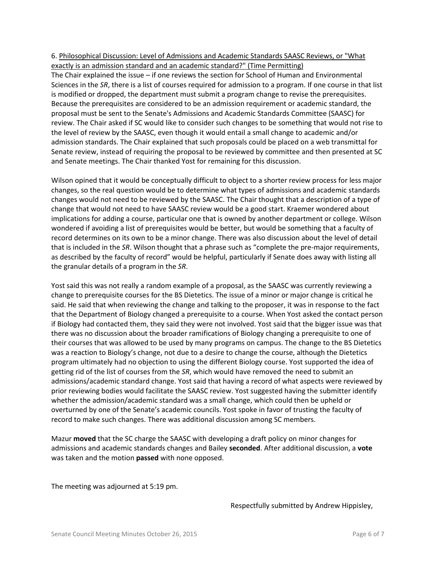## 6. Philosophical Discussion: Level of Admissions and Academic Standards SAASC Reviews, or "What exactly is an admission standard and an academic standard?" (Time Permitting)

The Chair explained the issue – if one reviews the section for School of Human and Environmental Sciences in the *SR*, there is a list of courses required for admission to a program. If one course in that list is modified or dropped, the department must submit a program change to revise the prerequisites. Because the prerequisites are considered to be an admission requirement or academic standard, the proposal must be sent to the Senate's Admissions and Academic Standards Committee (SAASC) for review. The Chair asked if SC would like to consider such changes to be something that would not rise to the level of review by the SAASC, even though it would entail a small change to academic and/or admission standards. The Chair explained that such proposals could be placed on a web transmittal for Senate review, instead of requiring the proposal to be reviewed by committee and then presented at SC and Senate meetings. The Chair thanked Yost for remaining for this discussion.

Wilson opined that it would be conceptually difficult to object to a shorter review process for less major changes, so the real question would be to determine what types of admissions and academic standards changes would not need to be reviewed by the SAASC. The Chair thought that a description of a type of change that would not need to have SAASC review would be a good start. Kraemer wondered about implications for adding a course, particular one that is owned by another department or college. Wilson wondered if avoiding a list of prerequisites would be better, but would be something that a faculty of record determines on its own to be a minor change. There was also discussion about the level of detail that is included in the *SR*. Wilson thought that a phrase such as "complete the pre-major requirements, as described by the faculty of record" would be helpful, particularly if Senate does away with listing all the granular details of a program in the *SR*.

Yost said this was not really a random example of a proposal, as the SAASC was currently reviewing a change to prerequisite courses for the BS Dietetics. The issue of a minor or major change is critical he said. He said that when reviewing the change and talking to the proposer, it was in response to the fact that the Department of Biology changed a prerequisite to a course. When Yost asked the contact person if Biology had contacted them, they said they were not involved. Yost said that the bigger issue was that there was no discussion about the broader ramifications of Biology changing a prerequisite to one of their courses that was allowed to be used by many programs on campus. The change to the BS Dietetics was a reaction to Biology's change, not due to a desire to change the course, although the Dietetics program ultimately had no objection to using the different Biology course. Yost supported the idea of getting rid of the list of courses from the *SR*, which would have removed the need to submit an admissions/academic standard change. Yost said that having a record of what aspects were reviewed by prior reviewing bodies would facilitate the SAASC review. Yost suggested having the submitter identify whether the admission/academic standard was a small change, which could then be upheld or overturned by one of the Senate's academic councils. Yost spoke in favor of trusting the faculty of record to make such changes. There was additional discussion among SC members.

Mazur **moved** that the SC charge the SAASC with developing a draft policy on minor changes for admissions and academic standards changes and Bailey **seconded**. After additional discussion, a **vote** was taken and the motion **passed** with none opposed.

The meeting was adjourned at 5:19 pm.

Respectfully submitted by Andrew Hippisley,